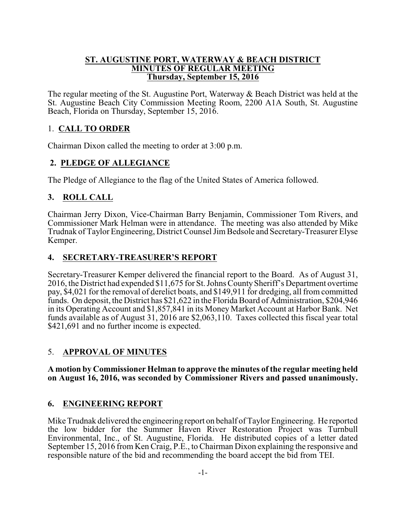### **ST. AUGUSTINE PORT, WATERWAY & BEACH DISTRICT MINUTES OF REGULAR MEETING Thursday, September 15, 2016**

The regular meeting of the St. Augustine Port, Waterway & Beach District was held at the St. Augustine Beach City Commission Meeting Room, 2200 A1A South, St. Augustine Beach, Florida on Thursday, September 15, 2016.

# 1. **CALL TO ORDER**

Chairman Dixon called the meeting to order at 3:00 p.m.

# **2. PLEDGE OF ALLEGIANCE**

The Pledge of Allegiance to the flag of the United States of America followed.

# **3. ROLL CALL**

Chairman Jerry Dixon, Vice-Chairman Barry Benjamin, Commissioner Tom Rivers, and Commissioner Mark Helman were in attendance. The meeting was also attended by Mike Trudnak of Taylor Engineering, District Counsel Jim Bedsole and Secretary-Treasurer Elyse Kemper.

# **4. SECRETARY-TREASURER'S REPORT**

Secretary-Treasurer Kemper delivered the financial report to the Board. As of August 31, 2016, the District had expended \$11,675 for St. Johns County Sheriff's Department overtime pay, \$4,021 for the removal of derelict boats, and \$149,911 for dredging, all from committed funds. On deposit, the District has \$21,622 in the Florida Board of Administration, \$204,946 in its Operating Account and \$1,857,841 in its Money Market Account at Harbor Bank. Net funds available as of August 31, 2016 are \$2,063,110. Taxes collected this fiscal year total \$421,691 and no further income is expected.

# 5. **APPROVAL OF MINUTES**

**A motion by Commissioner Helman to approve the minutes of the regular meeting held on August 16, 2016, was seconded by Commissioner Rivers and passed unanimously.** 

# **6. ENGINEERING REPORT**

Mike Trudnak delivered the engineering report on behalf of Taylor Engineering. He reported the low bidder for the Summer Haven River Restoration Project was Turnbull Environmental, Inc., of St. Augustine, Florida. He distributed copies of a letter dated September 15, 2016 from Ken Craig, P.E., to Chairman Dixon explaining the responsive and responsible nature of the bid and recommending the board accept the bid from TEI.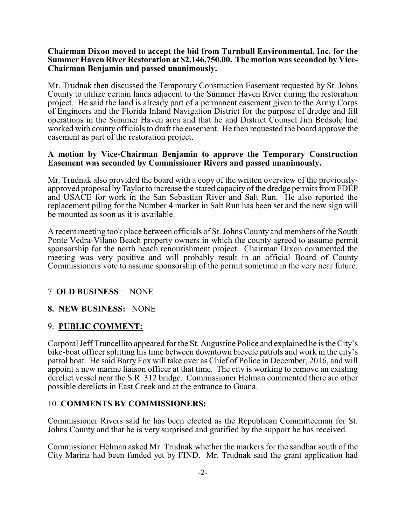#### **Chairman Dixon moved to accept the bid from Turnbull Environmental, Inc. for the Summer Haven River Restoration at \$2,146,750.00. The motion was seconded by Vice-Chairman Benjamin and passed unanimously.**

Mr. Trudnak then discussed the Temporary Construction Easement requested by St. Johns County to utilize certain lands adjacent to the Summer Haven River during the restoration project. He said the land is already part of a permanent easement given to the Army Corps of Engineers and the Florida Inland Navigation District for the purpose of dredge and fill operations in the Summer Haven area and that he and District Counsel Jim Bedsole had worked with county officials to draft the easement. He then requested the board approve the easement as part of the restoration project.

#### **A motion by Vice-Chairman Benjamin to approve the Temporary Construction Easement was seconded by Commissioner Rivers and passed unanimously.**

Mr. Trudnak also provided the board with a copy of the written overview of the previouslyapproved proposal byTaylor to increase the stated capacity of the dredge permits fromFDEP and USACE for work in the San Sebastian River and Salt Run. He also reported the replacement piling for the Number 4 marker in Salt Run has been set and the new sign will be mounted as soon as it is available.

A recent meeting took place between officials of St. Johns County and members of the South Ponte Vedra-Vilano Beach property owners in which the county agreed to assume permit sponsorship for the north beach renourishment project. Chairman Dixon commented the meeting was very positive and will probably result in an official Board of County Commissioners vote to assume sponsorship of the permit sometime in the very near future.

# 7. **OLD BUSINESS** : NONE

# **8. NEW BUSINESS:** NONE

# 9. **PUBLIC COMMENT:**

Corporal Jeff Truncellito appeared for the St. Augustine Police and explained he is the City's bike-boat officer splitting his time between downtown bicycle patrols and work in the city's patrol boat. He said Barry Fox will take over as Chief of Police in December, 2016, and will appoint a new marine liaison officer at that time. The city is working to remove an existing derelict vessel near the S.R. 312 bridge. Commissioner Helman commented there are other possible derelicts in East Creek and at the entrance to Guana.

### 10. **COMMENTS BY COMMISSIONERS:**

Commissioner Rivers said he has been elected as the Republican Committeeman for St. Johns County and that he is very surprised and gratified by the support he has received.

Commissioner Helman asked Mr. Trudnak whether the markers for the sandbar south of the City Marina had been funded yet by FIND. Mr. Trudnak said the grant application had